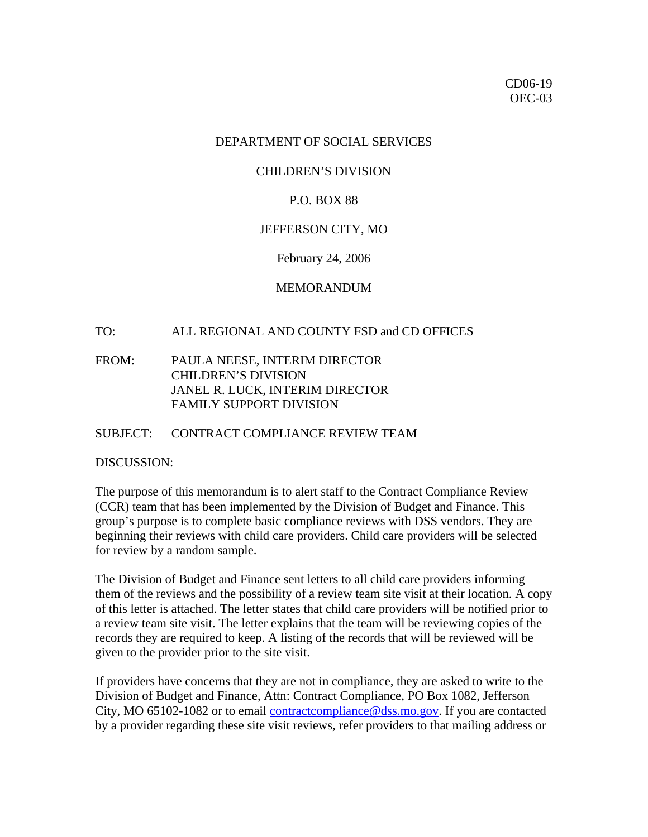## DEPARTMENT OF SOCIAL SERVICES

## CHILDREN'S DIVISION

## P.O. BOX 88

#### JEFFERSON CITY, MO

#### February 24, 2006

#### MEMORANDUM

## TO: ALL REGIONAL AND COUNTY FSD and CD OFFICES

# FROM: PAULA NEESE, INTERIM DIRECTOR CHILDREN'S DIVISION JANEL R. LUCK, INTERIM DIRECTOR FAMILY SUPPORT DIVISION

#### SUBJECT: CONTRACT COMPLIANCE REVIEW TEAM

#### DISCUSSION:

The purpose of this memorandum is to alert staff to the Contract Compliance Review (CCR) team that has been implemented by the Division of Budget and Finance. This group's purpose is to complete basic compliance reviews with DSS vendors. They are beginning their reviews with child care providers. Child care providers will be selected for review by a random sample.

The Division of Budget and Finance sent letters to all child care providers informing them of the reviews and the possibility of a review team site visit at their location. A copy of this letter is attached. The letter states that child care providers will be notified prior to a review team site visit. The letter explains that the team will be reviewing copies of the records they are required to keep. A listing of the records that will be reviewed will be given to the provider prior to the site visit.

If providers have concerns that they are not in compliance, they are asked to write to the Division of Budget and Finance, Attn: Contract Compliance, PO Box 1082, Jefferson City, MO 65102-1082 or to email [contractcompliance@dss.mo.gov.](mailto:contractcompliance@dss.mo.gov) If you are contacted by a provider regarding these site visit reviews, refer providers to that mailing address or